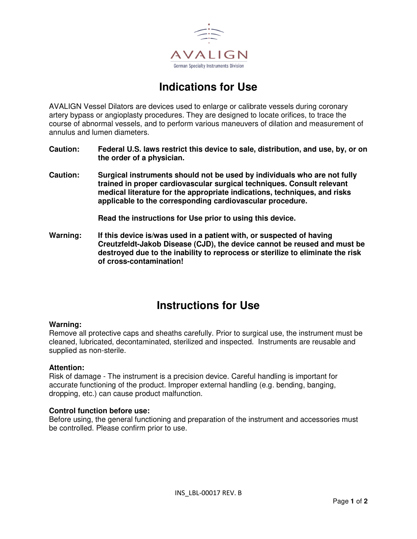

# **Indications for Use**

AVALIGN Vessel Dilators are devices used to enlarge or calibrate vessels during coronary artery bypass or angioplasty procedures. They are designed to locate orifices, to trace the course of abnormal vessels, and to perform various maneuvers of dilation and measurement of annulus and lumen diameters.

- **Caution: Federal U.S. laws restrict this device to sale, distribution, and use, by, or on the order of a physician.**
- **Caution: Surgical instruments should not be used by individuals who are not fully trained in proper cardiovascular surgical techniques. Consult relevant medical literature for the appropriate indications, techniques, and risks applicable to the corresponding cardiovascular procedure.**

**Read the instructions for Use prior to using this device.** 

**Warning: If this device is/was used in a patient with, or suspected of having Creutzfeldt-Jakob Disease (CJD), the device cannot be reused and must be destroyed due to the inability to reprocess or sterilize to eliminate the risk of cross-contamination!** 

# **Instructions for Use**

#### **Warning:**

Remove all protective caps and sheaths carefully. Prior to surgical use, the instrument must be cleaned, lubricated, decontaminated, sterilized and inspected. Instruments are reusable and supplied as non-sterile.

#### **Attention:**

Risk of damage - The instrument is a precision device. Careful handling is important for accurate functioning of the product. Improper external handling (e.g. bending, banging, dropping, etc.) can cause product malfunction.

#### **Control function before use:**

Before using, the general functioning and preparation of the instrument and accessories must be controlled. Please confirm prior to use.